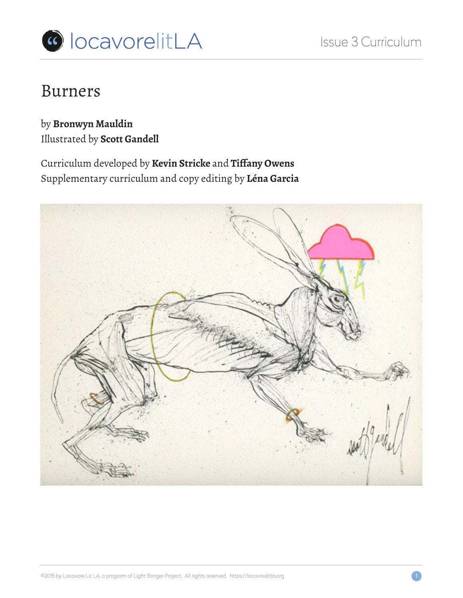

# Burners

by **Bronwyn Mauldin** Illustrated by **Scott Gandell**

Curriculum developed by **Kevin Stricke** and **Tiffany Owens** Supplementary curriculum and copy editing by **Léna Garcia**

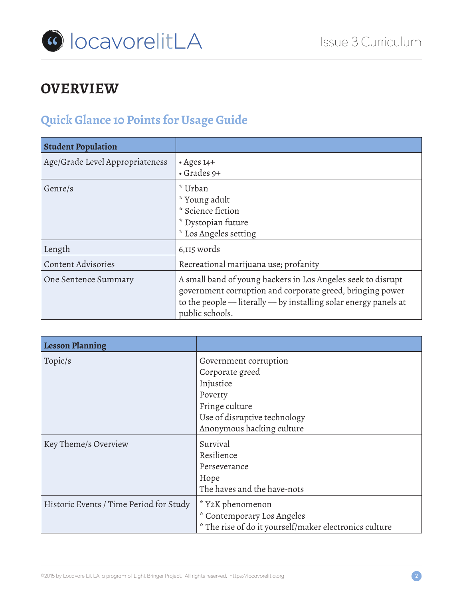

## **OVERVIEW**

# **Quick Glance 10 Points for Usage Guide**

| <b>Student Population</b>       |                                                                                                                                                                                                                      |
|---------------------------------|----------------------------------------------------------------------------------------------------------------------------------------------------------------------------------------------------------------------|
| Age/Grade Level Appropriateness | $\cdot$ Ages 14+<br>$\cdot$ Grades 9+                                                                                                                                                                                |
| Genre/s                         | * Urban<br>* Young adult<br>* Science fiction<br>* Dystopian future<br>* Los Angeles setting                                                                                                                         |
| Length                          | 6,115 words                                                                                                                                                                                                          |
| <b>Content Advisories</b>       | Recreational marijuana use; profanity                                                                                                                                                                                |
| One Sentence Summary            | A small band of young hackers in Los Angeles seek to disrupt<br>government corruption and corporate greed, bringing power<br>to the people $-$ literally $-$ by installing solar energy panels at<br>public schools. |

| <b>Lesson Planning</b>                  |                                                        |  |
|-----------------------------------------|--------------------------------------------------------|--|
| Topic/s                                 | Government corruption                                  |  |
|                                         | Corporate greed                                        |  |
|                                         | Injustice                                              |  |
|                                         | Poverty                                                |  |
|                                         | Fringe culture                                         |  |
|                                         | Use of disruptive technology                           |  |
|                                         | Anonymous hacking culture                              |  |
| Key Theme/s Overview                    | Survival                                               |  |
|                                         | Resilience                                             |  |
|                                         | Perseverance                                           |  |
|                                         | Hope                                                   |  |
|                                         | The haves and the have-nots                            |  |
| Historic Events / Time Period for Study | * Y2K phenomenon                                       |  |
|                                         | * Contemporary Los Angeles                             |  |
|                                         | * The rise of do it yourself/maker electronics culture |  |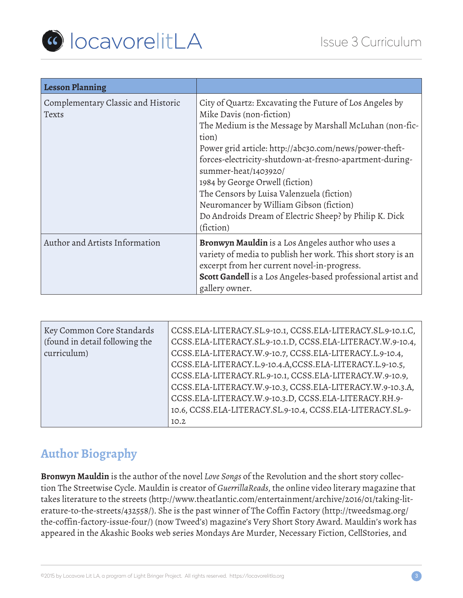

| <b>Lesson Planning</b>                      |                                                                                                                                                                                                                                                                                                                                                                                                                                                                                                        |  |
|---------------------------------------------|--------------------------------------------------------------------------------------------------------------------------------------------------------------------------------------------------------------------------------------------------------------------------------------------------------------------------------------------------------------------------------------------------------------------------------------------------------------------------------------------------------|--|
| Complementary Classic and Historic<br>Texts | City of Quartz: Excavating the Future of Los Angeles by<br>Mike Davis (non-fiction)<br>The Medium is the Message by Marshall McLuhan (non-fic-<br>tion)<br>Power grid article: http://abc30.com/news/power-theft-<br>forces-electricity-shutdown-at-fresno-apartment-during-<br>summer-heat/1403920/<br>1984 by George Orwell (fiction)<br>The Censors by Luisa Valenzuela (fiction)<br>Neuromancer by William Gibson (fiction)<br>Do Androids Dream of Electric Sheep? by Philip K. Dick<br>(fiction) |  |
| Author and Artists Information              | <b>Bronwyn Mauldin</b> is a Los Angeles author who uses a<br>variety of media to publish her work. This short story is an<br>excerpt from her current novel-in-progress.<br>Scott Gandell is a Los Angeles-based professional artist and<br>gallery owner.                                                                                                                                                                                                                                             |  |

| Key Common Core Standards<br>(found in detail following the<br>curriculum) | CCSS.ELA-LITERACY.SL.9-10.1, CCSS.ELA-LITERACY.SL.9-10.1.C,<br>CCSS.ELA-LITERACY.SL.9-10.1.D, CCSS.ELA-LITERACY.W.9-10.4,<br>CCSS.ELA-LITERACY.W.9-10.7, CCSS.ELA-LITERACY.L.9-10.4,<br>CCSS.ELA-LITERACY.L.9-10.4.A,CCSS.ELA-LITERACY.L.9-10.5,<br>CCSS.ELA-LITERACY.RL.9-10.1, CCSS.ELA-LITERACY.W.9-10.9,<br>CCSS.ELA-LITERACY.W.9-10.3, CCSS.ELA-LITERACY.W.9-10.3.A,<br>CCSS.ELA-LITERACY.W.9-10.3.D, CCSS.ELA-LITERACY.RH.9-<br>10.6, CCSS.ELA-LITERACY.SL.9-10.4, CCSS.ELA-LITERACY.SL.9-<br>10.2 |
|----------------------------------------------------------------------------|----------------------------------------------------------------------------------------------------------------------------------------------------------------------------------------------------------------------------------------------------------------------------------------------------------------------------------------------------------------------------------------------------------------------------------------------------------------------------------------------------------|
|----------------------------------------------------------------------------|----------------------------------------------------------------------------------------------------------------------------------------------------------------------------------------------------------------------------------------------------------------------------------------------------------------------------------------------------------------------------------------------------------------------------------------------------------------------------------------------------------|

### **Author Biography**

**Bronwyn Mauldin** is the author of the novel *Love Songs* of the Revolution and the short story collection The Streetwise Cycle. Mauldin is creator of *GuerrillaReads*, the online video literary magazine that takes literature to the streets (http://www.theatlantic.com/entertainment/archive/2016/01/taking-literature-to-the-streets/432558/). She is the past winner of The Coffin Factory (http://tweedsmag.org/ the-coffin-factory-issue-four/) (now Tweed's) magazine's Very Short Story Award. Mauldin's work has appeared in the Akashic Books web series Mondays Are Murder, Necessary Fiction, CellStories, and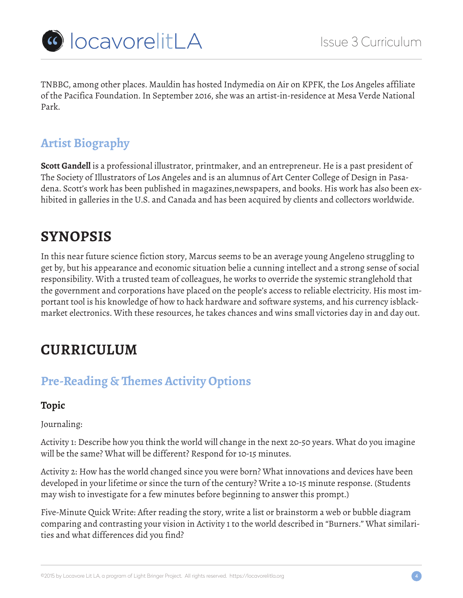

TNBBC, among other places. Mauldin has hosted Indymedia on Air on KPFK, the Los Angeles affiliate of the Pacifica Foundation. In September 2016, she was an artist-in-residence at Mesa Verde National Park.

## **Artist Biography**

**Scott Gandell** is a professional illustrator, printmaker, and an entrepreneur. He is a past president of The Society of Illustrators of Los Angeles and is an alumnus of Art Center College of Design in Pasadena. Scott's work has been published in magazines,newspapers, and books. His work has also been exhibited in galleries in the U.S. and Canada and has been acquired by clients and collectors worldwide.

# **SYNOPSIS**

In this near future science fiction story, Marcus seems to be an average young Angeleno struggling to get by, but his appearance and economic situation belie a cunning intellect and a strong sense of social responsibility. With a trusted team of colleagues, he works to override the systemic stranglehold that the government and corporations have placed on the people's access to reliable electricity. His most important tool is his knowledge of how to hack hardware and software systems, and his currency isblackmarket electronics. With these resources, he takes chances and wins small victories day in and day out.

# **CURRICULUM**

## **Pre-Reading & Themes Activity Options**

### **Topic**

Journaling:

Activity 1: Describe how you think the world will change in the next 20-50 years. What do you imagine will be the same? What will be different? Respond for 10-15 minutes.

Activity 2: How has the world changed since you were born? What innovations and devices have been developed in your lifetime or since the turn of the century? Write a 10-15 minute response. (Students may wish to investigate for a few minutes before beginning to answer this prompt.)

Five-Minute Quick Write: After reading the story, write a list or brainstorm a web or bubble diagram comparing and contrasting your vision in Activity 1 to the world described in "Burners." What similarities and what differences did you find?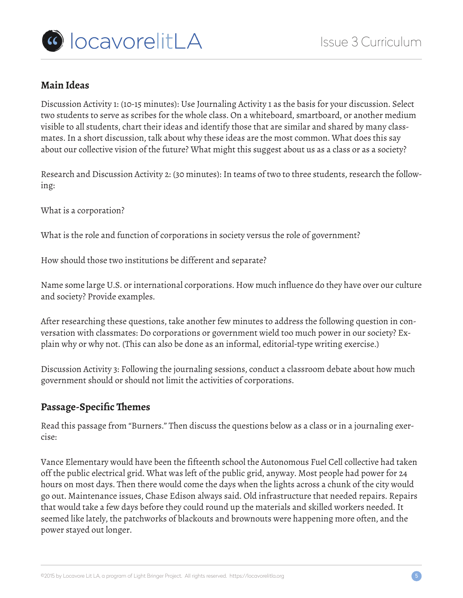

### **Main Ideas**

Discussion Activity 1: (10-15 minutes): Use Journaling Activity 1 as the basis for your discussion. Select two students to serve as scribes for the whole class. On a whiteboard, smartboard, or another medium visible to all students, chart their ideas and identify those that are similar and shared by many classmates. In a short discussion, talk about why these ideas are the most common. What does this say about our collective vision of the future? What might this suggest about us as a class or as a society?

Research and Discussion Activity 2: (30 minutes): In teams of two to three students, research the following:

What is a corporation?

What is the role and function of corporations in society versus the role of government?

How should those two institutions be different and separate?

Name some large U.S. or international corporations. How much influence do they have over our culture and society? Provide examples.

After researching these questions, take another few minutes to address the following question in conversation with classmates: Do corporations or government wield too much power in our society? Explain why or why not. (This can also be done as an informal, editorial-type writing exercise.)

Discussion Activity 3: Following the journaling sessions, conduct a classroom debate about how much government should or should not limit the activities of corporations.

### **Passage-Specific Themes**

Read this passage from "Burners." Then discuss the questions below as a class or in a journaling exercise:

Vance Elementary would have been the fifteenth school the Autonomous Fuel Cell collective had taken off the public electrical grid. What was left of the public grid, anyway. Most people had power for 24 hours on most days. Then there would come the days when the lights across a chunk of the city would go out. Maintenance issues, Chase Edison always said. Old infrastructure that needed repairs. Repairs that would take a few days before they could round up the materials and skilled workers needed. It seemed like lately, the patchworks of blackouts and brownouts were happening more often, and the power stayed out longer.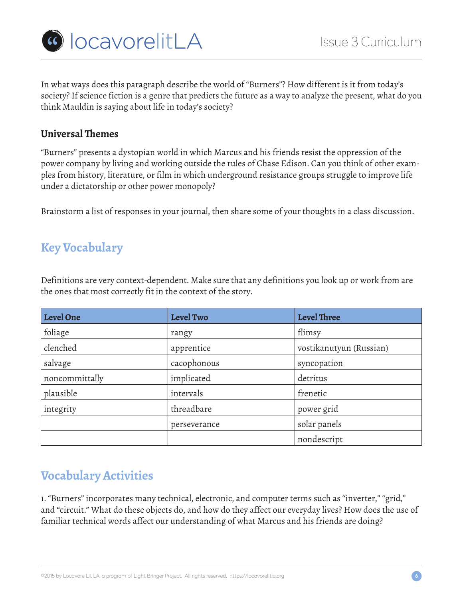

In what ways does this paragraph describe the world of "Burners"? How different is it from today's society? If science fiction is a genre that predicts the future as a way to analyze the present, what do you think Mauldin is saying about life in today's society?

#### **Universal Themes**

"Burners" presents a dystopian world in which Marcus and his friends resist the oppression of the power company by living and working outside the rules of Chase Edison. Can you think of other examples from history, literature, or film in which underground resistance groups struggle to improve life under a dictatorship or other power monopoly?

Brainstorm a list of responses in your journal, then share some of your thoughts in a class discussion.

### **Key Vocabulary**

Definitions are very context-dependent. Make sure that any definitions you look up or work from are the ones that most correctly fit in the context of the story.

| Level One      | <b>Level Two</b> | <b>Level Three</b>      |
|----------------|------------------|-------------------------|
| foliage        | rangy            | flimsy                  |
| clenched       | apprentice       | vostikanutyun (Russian) |
| salvage        | cacophonous      | syncopation             |
| noncommittally | implicated       | detritus                |
| plausible      | intervals        | frenetic                |
| integrity      | threadbare       | power grid              |
|                | perseverance     | solar panels            |
|                |                  | nondescript             |

### **Vocabulary Activities**

1. "Burners" incorporates many technical, electronic, and computer terms such as "inverter," "grid," and "circuit." What do these objects do, and how do they affect our everyday lives? How does the use of familiar technical words affect our understanding of what Marcus and his friends are doing?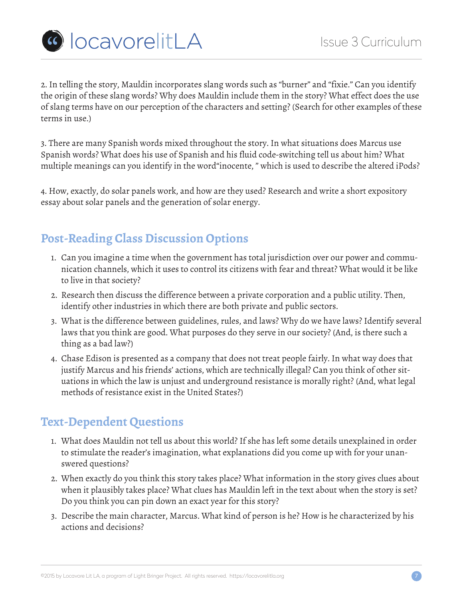

2. In telling the story, Mauldin incorporates slang words such as "burner" and "fixie." Can you identify the origin of these slang words? Why does Mauldin include them in the story? What effect does the use of slang terms have on our perception of the characters and setting? (Search for other examples of these terms in use.)

3. There are many Spanish words mixed throughout the story. In what situations does Marcus use Spanish words? What does his use of Spanish and his fluid code-switching tell us about him? What multiple meanings can you identify in the word"inocente, " which is used to describe the altered iPods?

4. How, exactly, do solar panels work, and how are they used? Research and write a short expository essay about solar panels and the generation of solar energy.

## **Post-Reading Class Discussion Options**

- 1. Can you imagine a time when the government has total jurisdiction over our power and communication channels, which it uses to control its citizens with fear and threat? What would it be like to live in that society?
- 2. Research then discuss the difference between a private corporation and a public utility. Then, identify other industries in which there are both private and public sectors.
- 3. What is the difference between guidelines, rules, and laws? Why do we have laws? Identify several laws that you think are good. What purposes do they serve in our society? (And, is there such a thing as a bad law?)
- 4. Chase Edison is presented as a company that does not treat people fairly. In what way does that justify Marcus and his friends' actions, which are technically illegal? Can you think of other situations in which the law is unjust and underground resistance is morally right? (And, what legal methods of resistance exist in the United States?)

## **Text-Dependent Questions**

- 1. What does Mauldin not tell us about this world? If she has left some details unexplained in order to stimulate the reader's imagination, what explanations did you come up with for your unanswered questions?
- 2. When exactly do you think this story takes place? What information in the story gives clues about when it plausibly takes place? What clues has Mauldin left in the text about when the story is set? Do you think you can pin down an exact year for this story?
- 3. Describe the main character, Marcus. What kind of person is he? How is he characterized by his actions and decisions?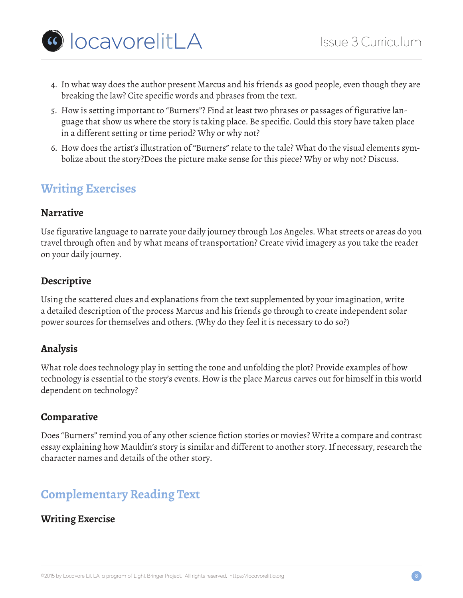- ColocavorelitLA
	- 4. In what way does the author present Marcus and his friends as good people, even though they are breaking the law? Cite specific words and phrases from the text.
	- 5. How is setting important to "Burners"? Find at least two phrases or passages of figurative language that show us where the story is taking place. Be specific. Could this story have taken place in a different setting or time period? Why or why not?
	- 6. How does the artist's illustration of "Burners" relate to the tale? What do the visual elements symbolize about the story?Does the picture make sense for this piece? Why or why not? Discuss.

## **Writing Exercises**

### **Narrative**

Use figurative language to narrate your daily journey through Los Angeles. What streets or areas do you travel through often and by what means of transportation? Create vivid imagery as you take the reader on your daily journey.

### **Descriptive**

Using the scattered clues and explanations from the text supplemented by your imagination, write a detailed description of the process Marcus and his friends go through to create independent solar power sources for themselves and others. (Why do they feel it is necessary to do so?)

### **Analysis**

What role does technology play in setting the tone and unfolding the plot? Provide examples of how technology is essential to the story's events. How is the place Marcus carves out for himself in this world dependent on technology?

### **Comparative**

Does "Burners" remind you of any other science fiction stories or movies? Write a compare and contrast essay explaining how Mauldin's story is similar and different to another story. If necessary, research the character names and details of the other story.

## **Complementary Reading Text**

### **Writing Exercise**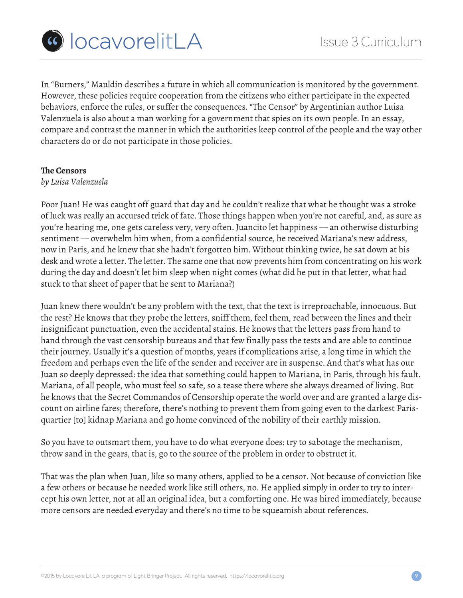

In "Burners," Mauldin describes a future in which all communication is monitored by the government. However, these policies require cooperation from the citizens who either participate in the expected behaviors, enforce the rules, or suffer the consequences. "The Censor" by Argentinian author Luisa Valenzuela is also about a man working for a government that spies on its own people. In an essay, compare and contrast the manner in which the authorities keep control of the people and the way other characters do or do not participate in those policies.

#### **The Censors**

#### *by Luisa Valenzuela*

Poor Juan! He was caught off guard that day and he couldn't realize that what he thought was a stroke of luck was really an accursed trick of fate. Those things happen when you're not careful, and, as sure as you're hearing me, one gets careless very, very often. Juancito let happiness — an otherwise disturbing sentiment — overwhelm him when, from a confidential source, he received Mariana's new address, now in Paris, and he knew that she hadn't forgotten him. Without thinking twice, he sat down at his desk and wrote a letter. The letter. The same one that now prevents him from concentrating on his work during the day and doesn't let him sleep when night comes (what did he put in that letter, what had stuck to that sheet of paper that he sent to Mariana?)

Juan knew there wouldn't be any problem with the text, that the text is irreproachable, innocuous. But the rest? He knows that they probe the letters, sniff them, feel them, read between the lines and their insignificant punctuation, even the accidental stains. He knows that the letters pass from hand to hand through the vast censorship bureaus and that few finally pass the tests and are able to continue their journey. Usually it's a question of months, years if complications arise, a long time in which the freedom and perhaps even the life of the sender and receiver are in suspense. And that's what has our Juan so deeply depressed: the idea that something could happen to Mariana, in Paris, through his fault. Mariana, of all people, who must feel so safe, so a tease there where she always dreamed of living. But he knows that the Secret Commandos of Censorship operate the world over and are granted a large discount on airline fares; therefore, there's nothing to prevent them from going even to the darkest Parisquartier [to] kidnap Mariana and go home convinced of the nobility of their earthly mission.

So you have to outsmart them, you have to do what everyone does: try to sabotage the mechanism, throw sand in the gears, that is, go to the source of the problem in order to obstruct it.

That was the plan when Juan, like so many others, applied to be a censor. Not because of conviction like a few others or because he needed work like still others, no. He applied simply in order to try to intercept his own letter, not at all an original idea, but a comforting one. He was hired immediately, because more censors are needed everyday and there's no time to be squeamish about references.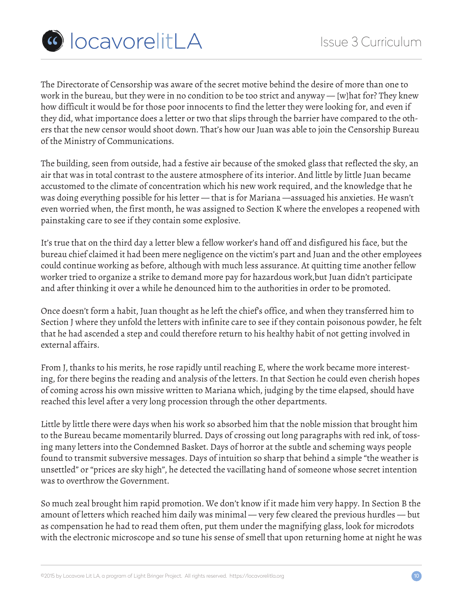

The Directorate of Censorship was aware of the secret motive behind the desire of more than one to work in the bureau, but they were in no condition to be too strict and anyway — [w]hat for? They knew how difficult it would be for those poor innocents to find the letter they were looking for, and even if they did, what importance does a letter or two that slips through the barrier have compared to the others that the new censor would shoot down. That's how our Juan was able to join the Censorship Bureau of the Ministry of Communications.

The building, seen from outside, had a festive air because of the smoked glass that reflected the sky, an air that was in total contrast to the austere atmosphere of its interior. And little by little Juan became accustomed to the climate of concentration which his new work required, and the knowledge that he was doing everything possible for his letter — that is for Mariana —assuaged his anxieties. He wasn't even worried when, the first month, he was assigned to Section K where the envelopes a reopened with painstaking care to see if they contain some explosive.

It's true that on the third day a letter blew a fellow worker's hand off and disfigured his face, but the bureau chief claimed it had been mere negligence on the victim's part and Juan and the other employees could continue working as before, although with much less assurance. At quitting time another fellow worker tried to organize a strike to demand more pay for hazardous work,but Juan didn't participate and after thinking it over a while he denounced him to the authorities in order to be promoted.

Once doesn't form a habit, Juan thought as he left the chief's office, and when they transferred him to Section J where they unfold the letters with infinite care to see if they contain poisonous powder, he felt that he had ascended a step and could therefore return to his healthy habit of not getting involved in external affairs.

From J, thanks to his merits, he rose rapidly until reaching E, where the work became more interesting, for there begins the reading and analysis of the letters. In that Section he could even cherish hopes of coming across his own missive written to Mariana which, judging by the time elapsed, should have reached this level after a very long procession through the other departments.

Little by little there were days when his work so absorbed him that the noble mission that brought him to the Bureau became momentarily blurred. Days of crossing out long paragraphs with red ink, of tossing many letters into the Condemned Basket. Days of horror at the subtle and scheming ways people found to transmit subversive messages. Days of intuition so sharp that behind a simple "the weather is unsettled" or "prices are sky high", he detected the vacillating hand of someone whose secret intention was to overthrow the Government.

So much zeal brought him rapid promotion. We don't know if it made him very happy. In Section B the amount of letters which reached him daily was minimal — very few cleared the previous hurdles — but as compensation he had to read them often, put them under the magnifying glass, look for microdots with the electronic microscope and so tune his sense of smell that upon returning home at night he was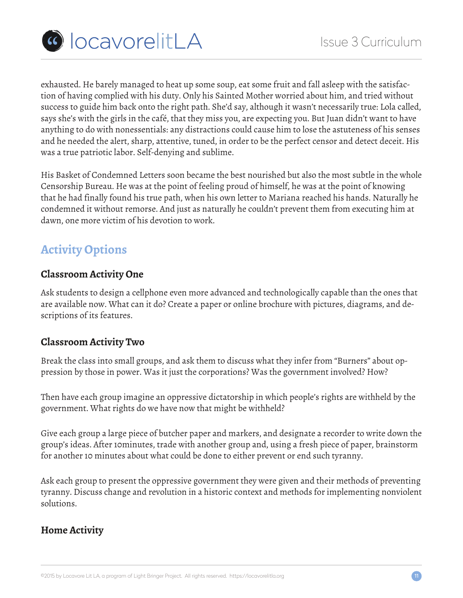

exhausted. He barely managed to heat up some soup, eat some fruit and fall asleep with the satisfaction of having complied with his duty. Only his Sainted Mother worried about him, and tried without success to guide him back onto the right path. She'd say, although it wasn't necessarily true: Lola called, says she's with the girls in the café, that they miss you, are expecting you. But Juan didn't want to have anything to do with nonessentials: any distractions could cause him to lose the astuteness of his senses and he needed the alert, sharp, attentive, tuned, in order to be the perfect censor and detect deceit. His was a true patriotic labor. Self-denying and sublime.

His Basket of Condemned Letters soon became the best nourished but also the most subtle in the whole Censorship Bureau. He was at the point of feeling proud of himself, he was at the point of knowing that he had finally found his true path, when his own letter to Mariana reached his hands. Naturally he condemned it without remorse. And just as naturally he couldn't prevent them from executing him at dawn, one more victim of his devotion to work.

## **Activity Options**

### **Classroom Activity One**

Ask students to design a cellphone even more advanced and technologically capable than the ones that are available now. What can it do? Create a paper or online brochure with pictures, diagrams, and descriptions of its features.

### **Classroom Activity Two**

Break the class into small groups, and ask them to discuss what they infer from "Burners" about oppression by those in power. Was it just the corporations? Was the government involved? How?

Then have each group imagine an oppressive dictatorship in which people's rights are withheld by the government. What rights do we have now that might be withheld?

Give each group a large piece of butcher paper and markers, and designate a recorder to write down the group's ideas. After 10minutes, trade with another group and, using a fresh piece of paper, brainstorm for another 10 minutes about what could be done to either prevent or end such tyranny.

Ask each group to present the oppressive government they were given and their methods of preventing tyranny. Discuss change and revolution in a historic context and methods for implementing nonviolent solutions.

### **Home Activity**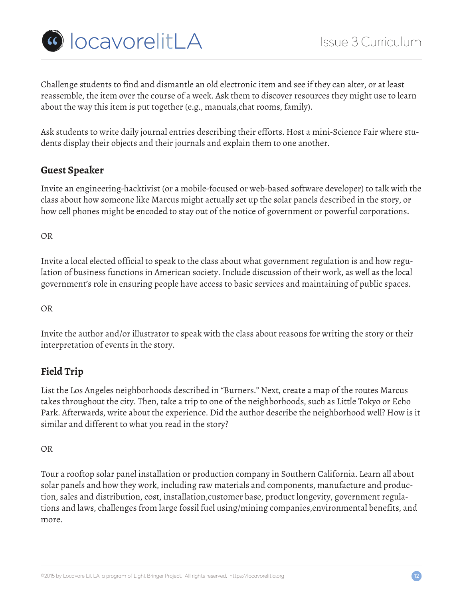

Challenge students to find and dismantle an old electronic item and see if they can alter, or at least reassemble, the item over the course of a week. Ask them to discover resources they might use to learn about the way this item is put together (e.g., manuals,chat rooms, family).

Ask students to write daily journal entries describing their efforts. Host a mini-Science Fair where students display their objects and their journals and explain them to one another.

### **Guest Speaker**

Invite an engineering-hacktivist (or a mobile-focused or web-based software developer) to talk with the class about how someone like Marcus might actually set up the solar panels described in the story, or how cell phones might be encoded to stay out of the notice of government or powerful corporations.

OR

Invite a local elected official to speak to the class about what government regulation is and how regulation of business functions in American society. Include discussion of their work, as well as the local government's role in ensuring people have access to basic services and maintaining of public spaces.

OR

Invite the author and/or illustrator to speak with the class about reasons for writing the story or their interpretation of events in the story.

### **Field Trip**

List the Los Angeles neighborhoods described in "Burners." Next, create a map of the routes Marcus takes throughout the city. Then, take a trip to one of the neighborhoods, such as Little Tokyo or Echo Park. Afterwards, write about the experience. Did the author describe the neighborhood well? How is it similar and different to what you read in the story?

OR

Tour a rooftop solar panel installation or production company in Southern California. Learn all about solar panels and how they work, including raw materials and components, manufacture and production, sales and distribution, cost, installation,customer base, product longevity, government regulations and laws, challenges from large fossil fuel using/mining companies,environmental benefits, and more.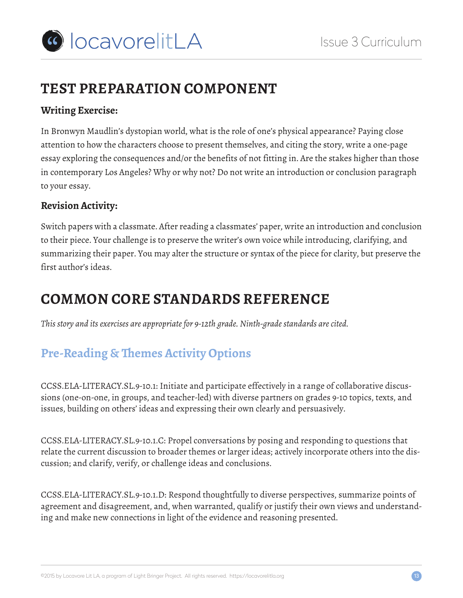# **TEST PREPARATION COMPONENT**

### **Writing Exercise:**

In Bronwyn Maudlin's dystopian world, what is the role of one's physical appearance? Paying close attention to how the characters choose to present themselves, and citing the story, write a one-page essay exploring the consequences and/or the benefits of not fitting in. Are the stakes higher than those in contemporary Los Angeles? Why or why not? Do not write an introduction or conclusion paragraph to your essay.

### **Revision Activity:**

Switch papers with a classmate. After reading a classmates' paper, write an introduction and conclusion to their piece. Your challenge is to preserve the writer's own voice while introducing, clarifying, and summarizing their paper. You may alter the structure or syntax of the piece for clarity, but preserve the first author's ideas.

# **COMMON CORE STANDARDS REFERENCE**

*This story and its exercises are appropriate for 9-12th grade. Ninth-grade standards are cited.*

## **Pre-Reading & Themes Activity Options**

CCSS.ELA-LITERACY.SL.9-10.1: Initiate and participate effectively in a range of collaborative discussions (one-on-one, in groups, and teacher-led) with diverse partners on grades 9-10 topics, texts, and issues, building on others' ideas and expressing their own clearly and persuasively.

CCSS.ELA-LITERACY.SL.9-10.1.C: Propel conversations by posing and responding to questions that relate the current discussion to broader themes or larger ideas; actively incorporate others into the discussion; and clarify, verify, or challenge ideas and conclusions.

CCSS.ELA-LITERACY.SL.9-10.1.D: Respond thoughtfully to diverse perspectives, summarize points of agreement and disagreement, and, when warranted, qualify or justify their own views and understanding and make new connections in light of the evidence and reasoning presented.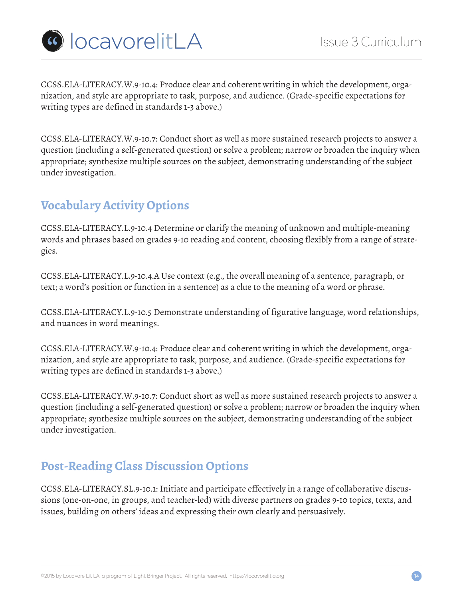

CCSS.ELA-LITERACY.W.9-10.4: Produce clear and coherent writing in which the development, organization, and style are appropriate to task, purpose, and audience. (Grade-specific expectations for writing types are defined in standards 1-3 above.)

CCSS.ELA-LITERACY.W.9-10.7: Conduct short as well as more sustained research projects to answer a question (including a self-generated question) or solve a problem; narrow or broaden the inquiry when appropriate; synthesize multiple sources on the subject, demonstrating understanding of the subject under investigation.

## **Vocabulary Activity Options**

CCSS.ELA-LITERACY.L.9-10.4 Determine or clarify the meaning of unknown and multiple-meaning words and phrases based on grades 9-10 reading and content, choosing flexibly from a range of strategies.

CCSS.ELA-LITERACY.L.9-10.4.A Use context (e.g., the overall meaning of a sentence, paragraph, or text; a word's position or function in a sentence) as a clue to the meaning of a word or phrase.

CCSS.ELA-LITERACY.L.9-10.5 Demonstrate understanding of figurative language, word relationships, and nuances in word meanings.

CCSS.ELA-LITERACY.W.9-10.4: Produce clear and coherent writing in which the development, organization, and style are appropriate to task, purpose, and audience. (Grade-specific expectations for writing types are defined in standards 1-3 above.)

CCSS.ELA-LITERACY.W.9-10.7: Conduct short as well as more sustained research projects to answer a question (including a self-generated question) or solve a problem; narrow or broaden the inquiry when appropriate; synthesize multiple sources on the subject, demonstrating understanding of the subject under investigation.

## **Post-Reading Class Discussion Options**

CCSS.ELA-LITERACY.SL.9-10.1: Initiate and participate effectively in a range of collaborative discussions (one-on-one, in groups, and teacher-led) with diverse partners on grades 9-10 topics, texts, and issues, building on others' ideas and expressing their own clearly and persuasively.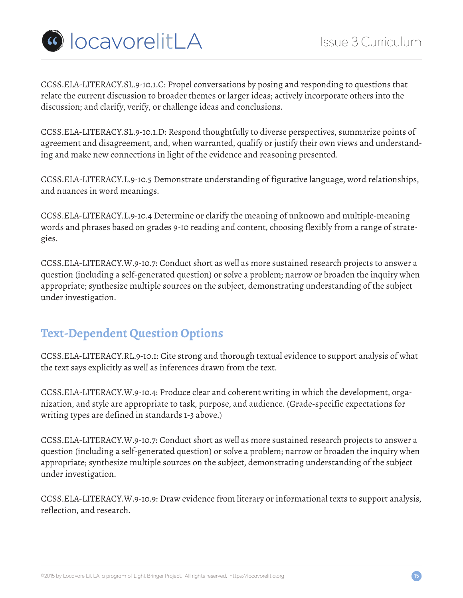

CCSS.ELA-LITERACY.SL.9-10.1.C: Propel conversations by posing and responding to questions that relate the current discussion to broader themes or larger ideas; actively incorporate others into the discussion; and clarify, verify, or challenge ideas and conclusions.

CCSS.ELA-LITERACY.SL.9-10.1.D: Respond thoughtfully to diverse perspectives, summarize points of agreement and disagreement, and, when warranted, qualify or justify their own views and understanding and make new connections in light of the evidence and reasoning presented.

CCSS.ELA-LITERACY.L.9-10.5 Demonstrate understanding of figurative language, word relationships, and nuances in word meanings.

CCSS.ELA-LITERACY.L.9-10.4 Determine or clarify the meaning of unknown and multiple-meaning words and phrases based on grades 9-10 reading and content, choosing flexibly from a range of strategies.

CCSS.ELA-LITERACY.W.9-10.7: Conduct short as well as more sustained research projects to answer a question (including a self-generated question) or solve a problem; narrow or broaden the inquiry when appropriate; synthesize multiple sources on the subject, demonstrating understanding of the subject under investigation.

## **Text-Dependent Question Options**

CCSS.ELA-LITERACY.RL.9-10.1: Cite strong and thorough textual evidence to support analysis of what the text says explicitly as well as inferences drawn from the text.

CCSS.ELA-LITERACY.W.9-10.4: Produce clear and coherent writing in which the development, organization, and style are appropriate to task, purpose, and audience. (Grade-specific expectations for writing types are defined in standards 1-3 above.)

CCSS.ELA-LITERACY.W.9-10.7: Conduct short as well as more sustained research projects to answer a question (including a self-generated question) or solve a problem; narrow or broaden the inquiry when appropriate; synthesize multiple sources on the subject, demonstrating understanding of the subject under investigation.

CCSS.ELA-LITERACY.W.9-10.9: Draw evidence from literary or informational texts to support analysis, reflection, and research.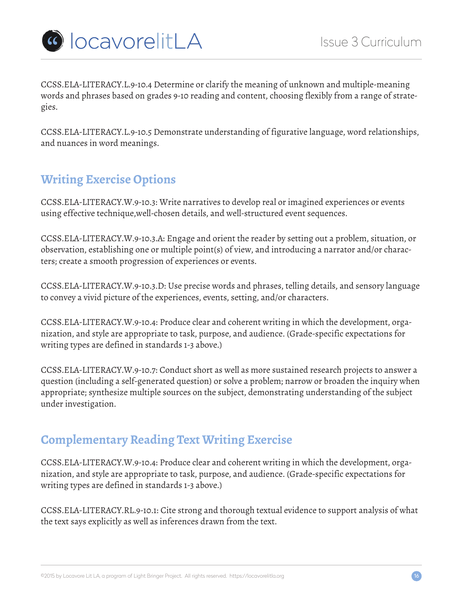

CCSS.ELA-LITERACY.L.9-10.4 Determine or clarify the meaning of unknown and multiple-meaning words and phrases based on grades 9-10 reading and content, choosing flexibly from a range of strategies.

CCSS.ELA-LITERACY.L.9-10.5 Demonstrate understanding of figurative language, word relationships, and nuances in word meanings.

## **Writing Exercise Options**

CCSS.ELA-LITERACY.W.9-10.3: Write narratives to develop real or imagined experiences or events using effective technique,well-chosen details, and well-structured event sequences.

CCSS.ELA-LITERACY.W.9-10.3.A: Engage and orient the reader by setting out a problem, situation, or observation, establishing one or multiple point(s) of view, and introducing a narrator and/or characters; create a smooth progression of experiences or events.

CCSS.ELA-LITERACY.W.9-10.3.D: Use precise words and phrases, telling details, and sensory language to convey a vivid picture of the experiences, events, setting, and/or characters.

CCSS.ELA-LITERACY.W.9-10.4: Produce clear and coherent writing in which the development, organization, and style are appropriate to task, purpose, and audience. (Grade-specific expectations for writing types are defined in standards 1-3 above.)

CCSS.ELA-LITERACY.W.9-10.7: Conduct short as well as more sustained research projects to answer a question (including a self-generated question) or solve a problem; narrow or broaden the inquiry when appropriate; synthesize multiple sources on the subject, demonstrating understanding of the subject under investigation.

## **Complementary Reading Text Writing Exercise**

CCSS.ELA-LITERACY.W.9-10.4: Produce clear and coherent writing in which the development, organization, and style are appropriate to task, purpose, and audience. (Grade-specific expectations for writing types are defined in standards 1-3 above.)

CCSS.ELA-LITERACY.RL.9-10.1: Cite strong and thorough textual evidence to support analysis of what the text says explicitly as well as inferences drawn from the text.